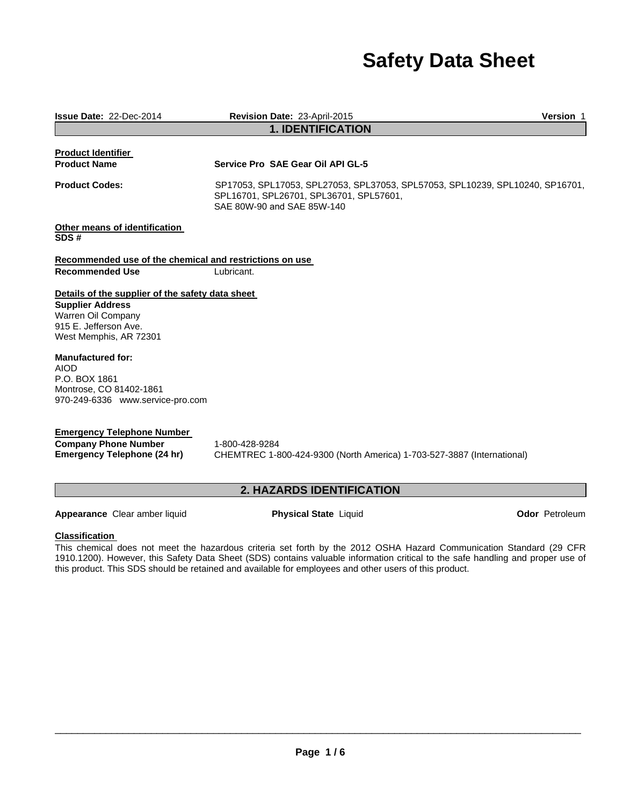# **Safety Data Sheet**

| <b>Issue Date: 22-Dec-2014</b>                                                                   |                                                                         | Revision Date: 23-April-2015                                                                                                                           | <b>Version 1</b>      |
|--------------------------------------------------------------------------------------------------|-------------------------------------------------------------------------|--------------------------------------------------------------------------------------------------------------------------------------------------------|-----------------------|
|                                                                                                  |                                                                         | <b>1. IDENTIFICATION</b>                                                                                                                               |                       |
| <b>Product Identifier</b><br><b>Product Name</b>                                                 |                                                                         | Service Pro SAE Gear Oil API GL-5                                                                                                                      |                       |
| <b>Product Codes:</b>                                                                            |                                                                         | SP17053, SPL17053, SPL27053, SPL37053, SPL57053, SPL10239, SPL10240, SP16701,<br>SPL16701, SPL26701, SPL36701, SPL57601,<br>SAE 80W-90 and SAE 85W-140 |                       |
| SDS#                                                                                             | Other means of identification                                           |                                                                                                                                                        |                       |
|                                                                                                  |                                                                         | Recommended use of the chemical and restrictions on use                                                                                                |                       |
| <b>Recommended Use</b>                                                                           |                                                                         | Lubricant.                                                                                                                                             |                       |
|                                                                                                  | Details of the supplier of the safety data sheet                        |                                                                                                                                                        |                       |
| <b>Supplier Address</b><br>Warren Oil Company<br>915 E. Jefferson Ave.<br>West Memphis, AR 72301 |                                                                         |                                                                                                                                                        |                       |
| <b>Manufactured for:</b><br><b>AIOD</b><br>P.O. BOX 1861<br>Montrose, CO 81402-1861              | 970-249-6336 www.service-pro.com                                        |                                                                                                                                                        |                       |
| <b>Company Phone Number</b>                                                                      | <b>Emergency Telephone Number</b><br><b>Emergency Telephone (24 hr)</b> | 1-800-428-9284<br>CHEMTREC 1-800-424-9300 (North America) 1-703-527-3887 (International)                                                               |                       |
|                                                                                                  |                                                                         | 2. HAZARDS IDENTIFICATION                                                                                                                              |                       |
|                                                                                                  | Appearance Clear amber liquid                                           | <b>Physical State Liquid</b>                                                                                                                           | <b>Odor</b> Petroleum |

# **Classification**

This chemical does not meet the hazardous criteria set forth by the 2012 OSHA Hazard Communication Standard (29 CFR 1910.1200). However, this Safety Data Sheet (SDS) contains valuable information critical to the safe handling and proper use of this product. This SDS should be retained and available for employees and other users of this product.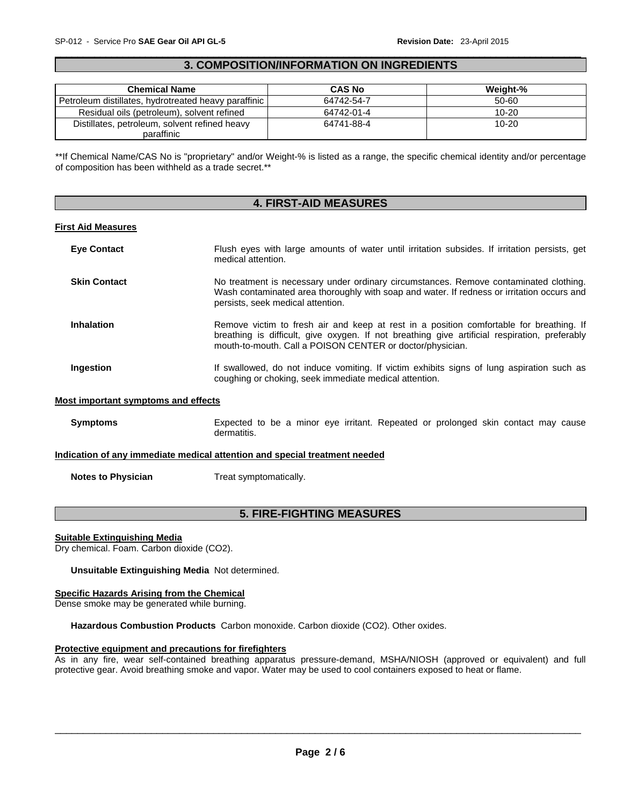### $\Box$ **3. COMPOSITION/INFORMATION ON INGREDIENTS**

| <b>Chemical Name</b>                                 | <b>CAS No</b> | Weight-%  |
|------------------------------------------------------|---------------|-----------|
| Petroleum distillates, hydrotreated heavy paraffinic | 64742-54-7    | 50-60     |
| Residual oils (petroleum), solvent refined           | 64742-01-4    | $10 - 20$ |
| Distillates, petroleum, solvent refined heavy        | 64741-88-4    | $10 - 20$ |
| paraffinic                                           |               |           |

\*\*If Chemical Name/CAS No is "proprietary" and/or Weight-% is listed as a range, the specific chemical identity and/or percentage of composition has been withheld as a trade secret.\*\*

### **4. FIRST-AID MEASURES**

#### **First Aid Measures**

| <b>Eye Contact</b>                  | Flush eyes with large amounts of water until irritation subsides. If irritation persists, get<br>medical attention.                                                                                                                                   |
|-------------------------------------|-------------------------------------------------------------------------------------------------------------------------------------------------------------------------------------------------------------------------------------------------------|
| <b>Skin Contact</b>                 | No treatment is necessary under ordinary circumstances. Remove contaminated clothing.<br>Wash contaminated area thoroughly with soap and water. If redness or irritation occurs and<br>persists, seek medical attention.                              |
| <b>Inhalation</b>                   | Remove victim to fresh air and keep at rest in a position comfortable for breathing. If<br>breathing is difficult, give oxygen. If not breathing give artificial respiration, preferably<br>mouth-to-mouth. Call a POISON CENTER or doctor/physician. |
| Ingestion                           | If swallowed, do not induce vomiting. If victim exhibits signs of lung aspiration such as<br>coughing or choking, seek immediate medical attention.                                                                                                   |
| Most important symptoms and effects |                                                                                                                                                                                                                                                       |

# Symptoms **Expected to be a minor eye irritant. Repeated or prolonged skin contact may cause** dermatitis.

#### **Indication of any immediate medical attention and special treatment needed**

**Notes to Physician**  Treat symptomatically.

# **5. FIRE-FIGHTING MEASURES**

#### **Suitable Extinguishing Media**

Dry chemical. Foam. Carbon dioxide (CO2).

**Unsuitable Extinguishing Media** Not determined.

#### **Specific Hazards Arising from the Chemical**

Dense smoke may be generated while burning.

**Hazardous Combustion Products** Carbon monoxide. Carbon dioxide (CO2). Other oxides.

#### **Protective equipment and precautions for firefighters**

As in any fire, wear self-contained breathing apparatus pressure-demand, MSHA/NIOSH (approved or equivalent) and full protective gear. Avoid breathing smoke and vapor. Water may be used to cool containers exposed to heat or flame.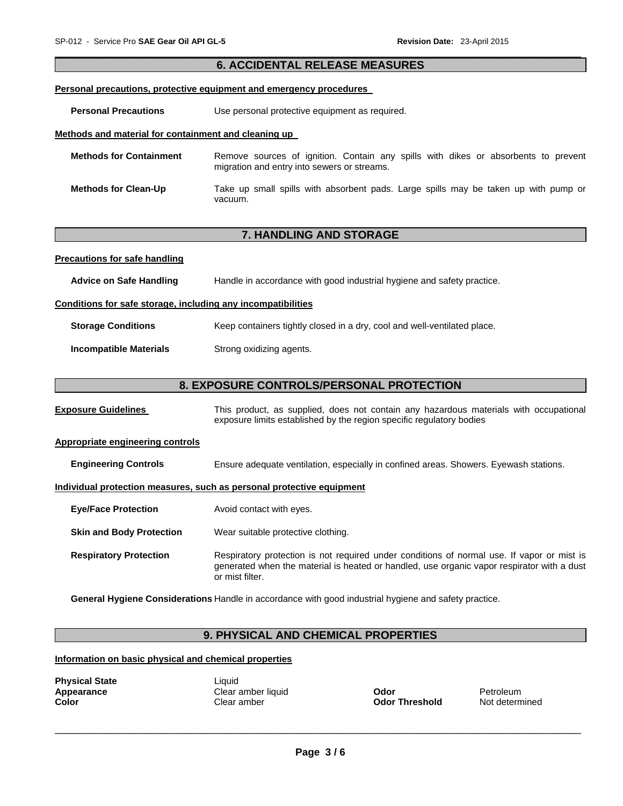# **6. ACCIDENTAL RELEASE MEASURES Personal precautions, protective equipment and emergency procedures Personal Precautions Use personal protective equipment as required. Methods and material for containment and cleaning up Methods for Containment** Remove sources of ignition. Contain any spills with dikes or absorbents to prevent migration and entry into sewers or streams. **Methods for Clean-Up** Take up small spills with absorbent pads. Large spills may be taken up with pump or vacuum. **7. HANDLING AND STORAGE Precautions for safe handling Advice on Safe Handling** Handle in accordance with good industrial hygiene and safety practice. **Conditions for safe storage, including any incompatibilities Storage Conditions Keep containers tightly closed in a dry, cool and well-ventilated place. Incompatible Materials Strong oxidizing agents.**

 $\Box$ 

# **8. EXPOSURE CONTROLS/PERSONAL PROTECTION**

**Exposure Guidelines** This product, as supplied, does not contain any hazardous materials with occupational exposure limits established by the region specific regulatory bodies

#### **Appropriate engineering controls**

**Engineering Controls** Ensure adequate ventilation, especially in confined areas. Showers. Eyewash stations.

#### **Individual protection measures, such as personal protective equipment**

**Eye/Face Protection** Avoid contact with eyes.

**Skin and Body Protection** Wear suitable protective clothing.

**Respiratory Protection Respiratory protection is not required under conditions of normal use. If vapor or mist is** generated when the material is heated or handled, use organic vapor respirator with a dust or mist filter.

**General Hygiene Considerations** Handle in accordance with good industrial hygiene and safety practice.

# **9. PHYSICAL AND CHEMICAL PROPERTIES**

#### **Information on basic physical and chemical properties**

**Physical State** Liquid

**Appearance Clear amber liquid <b>Odor Petroleum** Petroleum **Color** Clear amber **Odor Threshold** Not determined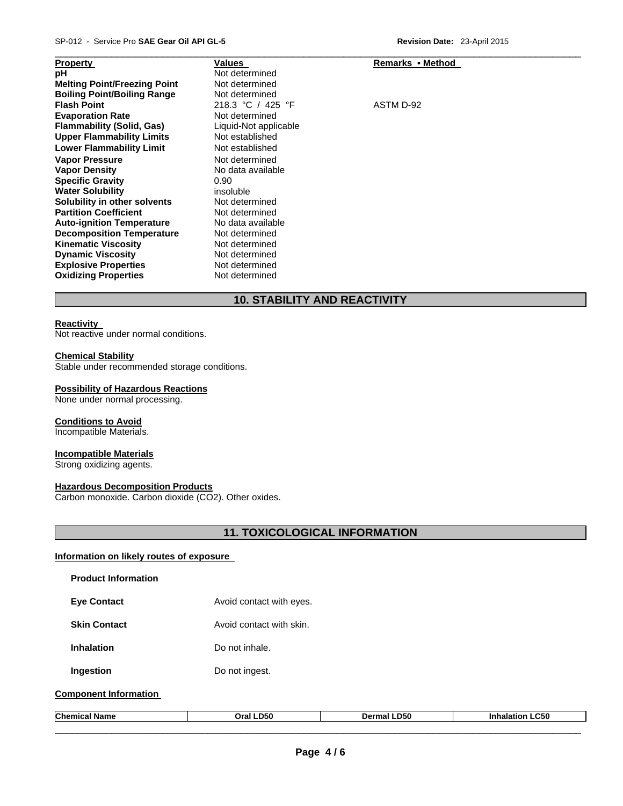| <b>Property</b>                     | Values                | Remarks • Method |
|-------------------------------------|-----------------------|------------------|
| рH                                  | Not determined        |                  |
| <b>Melting Point/Freezing Point</b> | Not determined        |                  |
| <b>Boiling Point/Boiling Range</b>  | Not determined        |                  |
| <b>Flash Point</b>                  | 218.3 °C / 425 °F     | ASTM D-92        |
| <b>Evaporation Rate</b>             | Not determined        |                  |
| <b>Flammability (Solid, Gas)</b>    | Liquid-Not applicable |                  |
| <b>Upper Flammability Limits</b>    | Not established       |                  |
| <b>Lower Flammability Limit</b>     | Not established       |                  |
| <b>Vapor Pressure</b>               | Not determined        |                  |
| <b>Vapor Density</b>                | No data available     |                  |
| <b>Specific Gravity</b>             | 0.90                  |                  |
| <b>Water Solubility</b>             | insoluble             |                  |
| Solubility in other solvents        | Not determined        |                  |
| <b>Partition Coefficient</b>        | Not determined        |                  |
| <b>Auto-ignition Temperature</b>    | No data available     |                  |
| <b>Decomposition Temperature</b>    | Not determined        |                  |
| <b>Kinematic Viscosity</b>          | Not determined        |                  |
| <b>Dynamic Viscosity</b>            | Not determined        |                  |
| <b>Explosive Properties</b>         | Not determined        |                  |
| <b>Oxidizing Properties</b>         | Not determined        |                  |

# **10. STABILITY AND REACTIVITY**

# **Reactivity**

Not reactive under normal conditions.

#### **Chemical Stability**

Stable under recommended storage conditions.

#### **Possibility of Hazardous Reactions**

None under normal processing.

# **Conditions to Avoid**

Incompatible Materials.

# **Incompatible Materials**

Strong oxidizing agents.

# **Hazardous Decomposition Products**

Carbon monoxide. Carbon dioxide (CO2). Other oxides.

# **11. TOXICOLOGICAL INFORMATION**

# **Information on likely routes of exposure**

| <b>Product Information</b>   |                          |                    |                        |
|------------------------------|--------------------------|--------------------|------------------------|
| <b>Eye Contact</b>           | Avoid contact with eyes. |                    |                        |
| <b>Skin Contact</b>          | Avoid contact with skin. |                    |                        |
| <b>Inhalation</b>            | Do not inhale.           |                    |                        |
| Ingestion                    | Do not ingest.           |                    |                        |
| <b>Component Information</b> |                          |                    |                        |
| <b>Chemical Name</b>         | Oral LD50                | <b>Dermal LD50</b> | <b>Inhalation LC50</b> |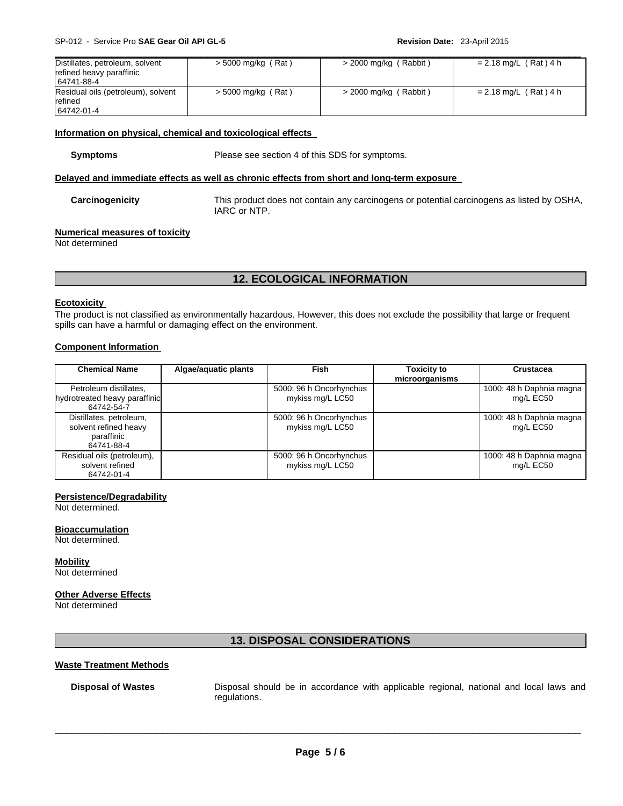| Distillates, petroleum, solvent<br>refined heavy paraffinic<br>64741-88-4 | $>$ 5000 mg/kg (Rat) | $>$ 2000 mg/kg (Rabbit) | $= 2.18$ mg/L (Rat) 4 h |
|---------------------------------------------------------------------------|----------------------|-------------------------|-------------------------|
| Residual oils (petroleum), solvent<br>refined<br>64742-01-4               | $>$ 5000 mg/kg (Rat) | $>$ 2000 mg/kg (Rabbit) | $= 2.18$ mg/L (Rat) 4 h |

 $\Box$ 

#### **Information on physical, chemical and toxicological effects**

**Symptoms** Please see section 4 of this SDS for symptoms.

#### **Delayed and immediate effects as well as chronic effects from short and long-term exposure**

#### **Carcinogenicity** This product does not contain any carcinogens or potential carcinogens as listed by OSHA, IARC or NTP.

# **Numerical measures of toxicity**

Not determined

# **12. ECOLOGICAL INFORMATION**

#### **Ecotoxicity**

The product is not classified as environmentally hazardous. However, this does not exclude the possibility that large or frequent spills can have a harmful or damaging effect on the environment.

# **Component Information**

| <b>Chemical Name</b>                                                         | Algae/aquatic plants | <b>Fish</b>                                 | <b>Toxicity to</b><br>microorganisms | <b>Crustacea</b>                      |
|------------------------------------------------------------------------------|----------------------|---------------------------------------------|--------------------------------------|---------------------------------------|
| Petroleum distillates,<br>hydrotreated heavy paraffinic<br>64742-54-7        |                      | 5000: 96 h Oncorhynchus<br>mykiss mg/L LC50 |                                      | 1000: 48 h Daphnia magna<br>mg/L EC50 |
| Distillates, petroleum,<br>solvent refined heavy<br>paraffinic<br>64741-88-4 |                      | 5000: 96 h Oncorhynchus<br>mykiss mg/L LC50 |                                      | 1000: 48 h Daphnia magna<br>mg/L EC50 |
| Residual oils (petroleum),<br>solvent refined<br>64742-01-4                  |                      | 5000: 96 h Oncorhynchus<br>mykiss mg/L LC50 |                                      | 1000: 48 h Daphnia magna<br>mg/L EC50 |

#### **Persistence/Degradability**

Not determined.

**Bioaccumulation**

Not determined.

**Mobility**

Not determined

#### **Other Adverse Effects**

Not determined

# **13. DISPOSAL CONSIDERATIONS**

#### **Waste Treatment Methods**

**Disposal of Wastes** Disposal should be in accordance with applicable regional, national and local laws and regulations.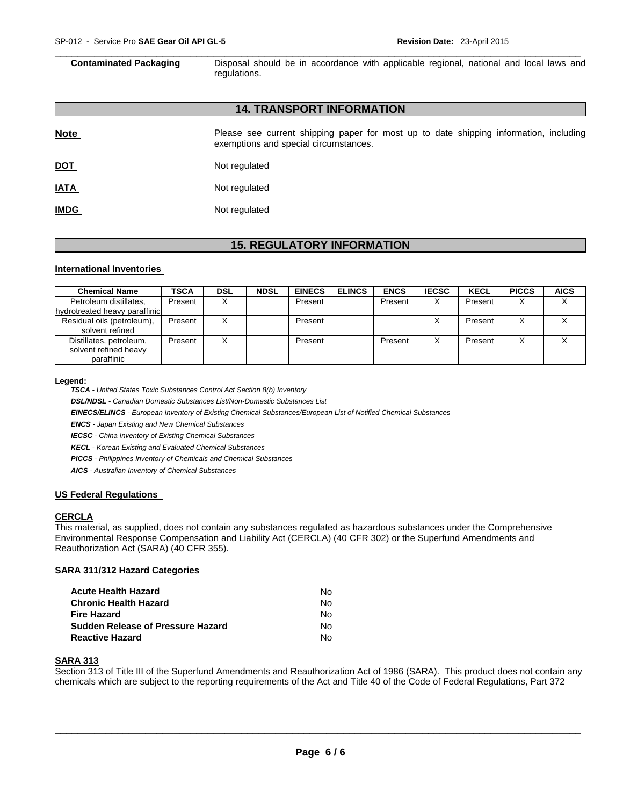$\Box$ **Contaminated Packaging** Disposal should be in accordance with applicable regional, national and local laws and regulations.

# **14. TRANSPORT INFORMATION**

| <b>Note</b> | Please see current shipping paper for most up to date shipping information, including<br>exemptions and special circumstances. |
|-------------|--------------------------------------------------------------------------------------------------------------------------------|
| <u>DOT</u>  | Not regulated                                                                                                                  |
| <u>IATA</u> | Not regulated                                                                                                                  |
| <b>IMDG</b> | Not regulated                                                                                                                  |

# **15. REGULATORY INFORMATION**

#### **International Inventories**

| <b>Chemical Name</b>                                           | <b>TSCA</b> | <b>DSL</b> | <b>NDSL</b> | <b>EINECS</b> | <b>ELINCS</b> | <b>ENCS</b> | <b>IECSC</b> | <b>KECL</b> | <b>PICCS</b> | <b>AICS</b> |
|----------------------------------------------------------------|-------------|------------|-------------|---------------|---------------|-------------|--------------|-------------|--------------|-------------|
| Petroleum distillates,<br>hydrotreated heavy paraffinic        | Present     |            |             | Present       |               | Present     | X            | Present     |              |             |
| Residual oils (petroleum),<br>solvent refined                  | Present     |            |             | Present       |               |             |              | Present     |              |             |
| Distillates, petroleum,<br>solvent refined heavy<br>paraffinic | Present     |            |             | Present       |               | Present     |              | Present     |              |             |

#### **Legend:**

*TSCA - United States Toxic Substances Control Act Section 8(b) Inventory* 

*DSL/NDSL - Canadian Domestic Substances List/Non-Domestic Substances List* 

*EINECS/ELINCS - European Inventory of Existing Chemical Substances/European List of Notified Chemical Substances* 

*ENCS - Japan Existing and New Chemical Substances* 

*IECSC - China Inventory of Existing Chemical Substances* 

*KECL - Korean Existing and Evaluated Chemical Substances* 

*PICCS - Philippines Inventory of Chemicals and Chemical Substances* 

*AICS - Australian Inventory of Chemical Substances* 

#### **US Federal Regulations**

#### **CERCLA**

This material, as supplied, does not contain any substances regulated as hazardous substances under the Comprehensive Environmental Response Compensation and Liability Act (CERCLA) (40 CFR 302) or the Superfund Amendments and Reauthorization Act (SARA) (40 CFR 355).

# **SARA 311/312 Hazard Categories**

| Acute Health Hazard               | Nο |
|-----------------------------------|----|
| Chronic Health Hazard             | N٥ |
| Fire Hazard                       | Nο |
| Sudden Release of Pressure Hazard | N٥ |
| Reactive Hazard                   | N٥ |

# **SARA 313**

Section 313 of Title III of the Superfund Amendments and Reauthorization Act of 1986 (SARA). This product does not contain any chemicals which are subject to the reporting requirements of the Act and Title 40 of the Code of Federal Regulations, Part 372